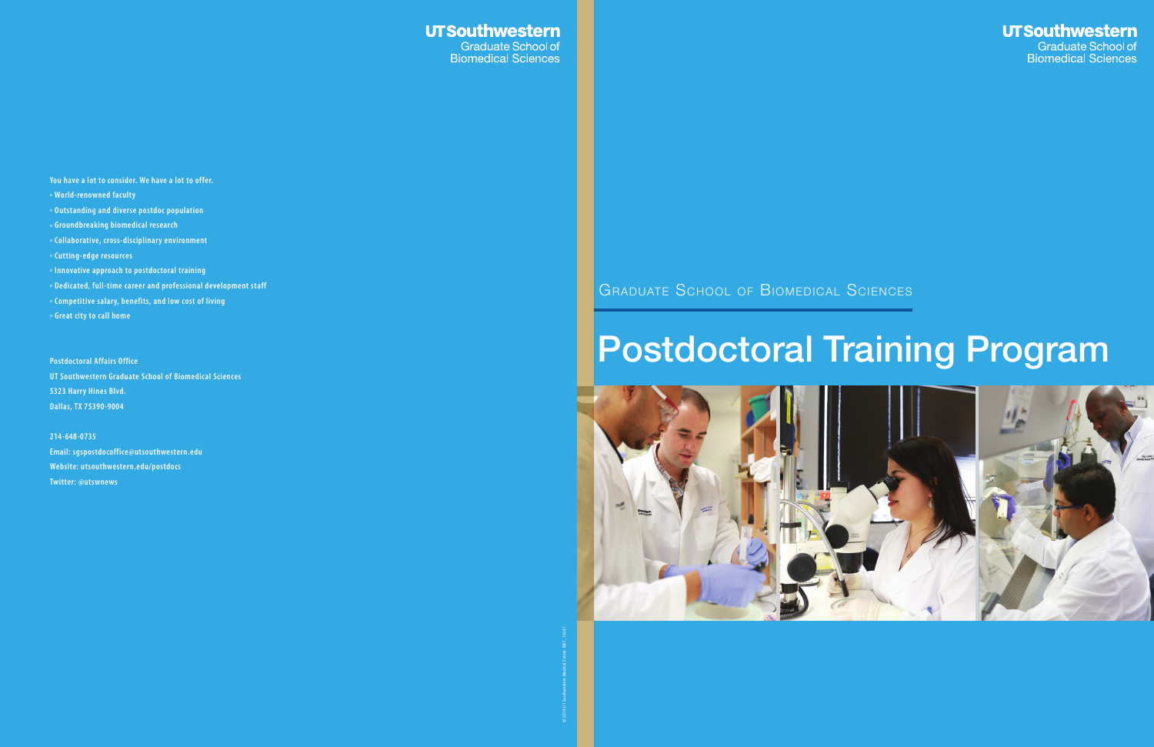## **UTSouthwestern**

Graduate School of<br>Biomedical Sciences



**You have a lot to consider. We have a lot to offer.**

- **° World-renowned faculty**
- **° Outstanding and diverse postdoc population**
- **° Groundbreaking biomedical research**
- **° Collaborative, cross-disciplinary environment**
- **° Cutting-edge resources**
- **° Innovative approach to postdoctoral training**
- **° Dedicated, full-time career and professional development staff**
- **° Competitive salary, benefits, and low cost of living**
- **° Great city to call home**

**Postdoctoral Affairs Office UT Southwestern Graduate School of Biomedical Sciences 5323 Harry Hines Blvd. Dallas, TX 75390-9004**

**214-648-0735 Email: sgspostdocoffice@utsouthwestern.edu Website: utsouthwestern.edu/postdocs Twitter: @utswnews**

# GRADUATE SCHOOL OF BIOMEDICAL SCIENCES

# Postdoctoral Training Program